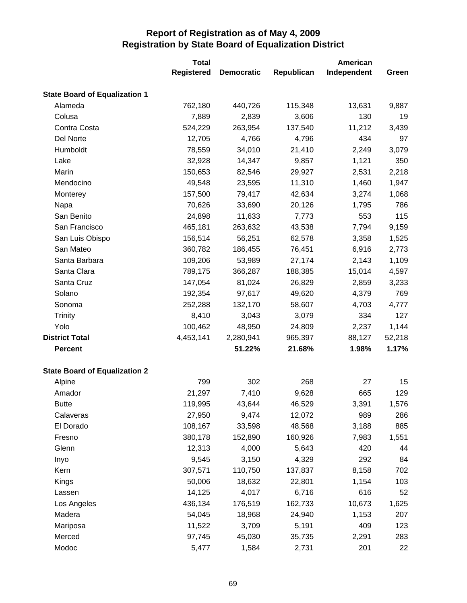|                                      | <b>Total</b>      |                   |            | American    |        |
|--------------------------------------|-------------------|-------------------|------------|-------------|--------|
|                                      | <b>Registered</b> | <b>Democratic</b> | Republican | Independent | Green  |
| <b>State Board of Equalization 1</b> |                   |                   |            |             |        |
| Alameda                              | 762,180           | 440,726           | 115,348    | 13,631      | 9,887  |
| Colusa                               | 7,889             | 2,839             | 3,606      | 130         | 19     |
| Contra Costa                         | 524,229           | 263,954           | 137,540    | 11,212      | 3,439  |
| Del Norte                            | 12,705            | 4,766             | 4,796      | 434         | 97     |
| Humboldt                             | 78,559            | 34,010            | 21,410     | 2,249       | 3,079  |
| Lake                                 | 32,928            | 14,347            | 9,857      | 1,121       | 350    |
| Marin                                | 150,653           | 82,546            | 29,927     | 2,531       | 2,218  |
| Mendocino                            | 49,548            | 23,595            | 11,310     | 1,460       | 1,947  |
| Monterey                             | 157,500           | 79,417            | 42,634     | 3,274       | 1,068  |
| Napa                                 | 70,626            | 33,690            | 20,126     | 1,795       | 786    |
| San Benito                           | 24,898            | 11,633            | 7,773      | 553         | 115    |
| San Francisco                        | 465,181           | 263,632           | 43,538     | 7,794       | 9,159  |
| San Luis Obispo                      | 156,514           | 56,251            | 62,578     | 3,358       | 1,525  |
| San Mateo                            | 360,782           | 186,455           | 76,451     | 6,916       | 2,773  |
| Santa Barbara                        | 109,206           | 53,989            | 27,174     | 2,143       | 1,109  |
| Santa Clara                          | 789,175           | 366,287           | 188,385    | 15,014      | 4,597  |
| Santa Cruz                           | 147,054           | 81,024            | 26,829     | 2,859       | 3,233  |
| Solano                               | 192,354           | 97,617            | 49,620     | 4,379       | 769    |
| Sonoma                               | 252,288           | 132,170           | 58,607     | 4,703       | 4,777  |
| <b>Trinity</b>                       | 8,410             | 3,043             | 3,079      | 334         | 127    |
| Yolo                                 | 100,462           | 48,950            | 24,809     | 2,237       | 1,144  |
| <b>District Total</b>                | 4,453,141         | 2,280,941         | 965,397    | 88,127      | 52,218 |
| <b>Percent</b>                       |                   | 51.22%            | 21.68%     | 1.98%       | 1.17%  |
| <b>State Board of Equalization 2</b> |                   |                   |            |             |        |
| Alpine                               | 799               | 302               | 268        | 27          | 15     |
| Amador                               | 21,297            | 7,410             | 9,628      | 665         | 129    |
| <b>Butte</b>                         | 119,995           | 43,644            | 46,529     | 3,391       | 1,576  |
| Calaveras                            | 27,950            | 9,474             | 12,072     | 989         | 286    |
| El Dorado                            | 108,167           | 33,598            | 48,568     | 3,188       | 885    |
| Fresno                               | 380,178           | 152,890           | 160,926    | 7,983       | 1,551  |
| Glenn                                | 12,313            | 4,000             | 5,643      | 420         | 44     |
| Inyo                                 | 9,545             | 3,150             | 4,329      | 292         | 84     |
| Kern                                 | 307,571           | 110,750           | 137,837    | 8,158       | 702    |
| Kings                                | 50,006            | 18,632            | 22,801     | 1,154       | 103    |
| Lassen                               | 14,125            | 4,017             | 6,716      | 616         | 52     |
| Los Angeles                          | 436,134           | 176,519           | 162,733    | 10,673      | 1,625  |
| Madera                               | 54,045            | 18,968            | 24,940     | 1,153       | 207    |
| Mariposa                             | 11,522            | 3,709             | 5,191      | 409         | 123    |
| Merced                               | 97,745            | 45,030            | 35,735     | 2,291       | 283    |
| Modoc                                | 5,477             | 1,584             | 2,731      | 201         | 22     |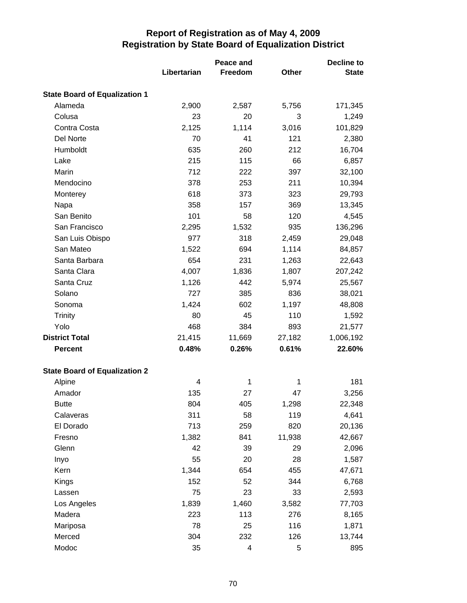|                                      |             | Peace and |              | Decline to   |  |
|--------------------------------------|-------------|-----------|--------------|--------------|--|
|                                      | Libertarian | Freedom   | <b>Other</b> | <b>State</b> |  |
| <b>State Board of Equalization 1</b> |             |           |              |              |  |
| Alameda                              | 2,900       | 2,587     | 5,756        | 171,345      |  |
| Colusa                               | 23          | 20        | 3            | 1,249        |  |
| Contra Costa                         | 2,125       | 1,114     | 3,016        | 101,829      |  |
| Del Norte                            | 70          | 41        | 121          | 2,380        |  |
| Humboldt                             | 635         | 260       | 212          | 16,704       |  |
| Lake                                 | 215         | 115       | 66           | 6,857        |  |
| Marin                                | 712         | 222       | 397          | 32,100       |  |
| Mendocino                            | 378         | 253       | 211          | 10,394       |  |
| Monterey                             | 618         | 373       | 323          | 29,793       |  |
| Napa                                 | 358         | 157       | 369          | 13,345       |  |
| San Benito                           | 101         | 58        | 120          | 4,545        |  |
| San Francisco                        | 2,295       | 1,532     | 935          | 136,296      |  |
| San Luis Obispo                      | 977         | 318       | 2,459        | 29,048       |  |
| San Mateo                            | 1,522       | 694       | 1,114        | 84,857       |  |
| Santa Barbara                        | 654         | 231       | 1,263        | 22,643       |  |
| Santa Clara                          | 4,007       | 1,836     | 1,807        | 207,242      |  |
| Santa Cruz                           | 1,126       | 442       | 5,974        | 25,567       |  |
| Solano                               | 727         | 385       | 836          | 38,021       |  |
| Sonoma                               | 1,424       | 602       | 1,197        | 48,808       |  |
| <b>Trinity</b>                       | 80          | 45        | 110          | 1,592        |  |
| Yolo                                 | 468         | 384       | 893          | 21,577       |  |
| <b>District Total</b>                | 21,415      | 11,669    | 27,182       | 1,006,192    |  |
| <b>Percent</b>                       | 0.48%       | 0.26%     | 0.61%        | 22.60%       |  |
| <b>State Board of Equalization 2</b> |             |           |              |              |  |
| Alpine                               | 4           | 1         | 1            | 181          |  |
| Amador                               | 135         | 27        | 47           | 3,256        |  |
| <b>Butte</b>                         | 804         | 405       | 1,298        | 22,348       |  |
| Calaveras                            | 311         | 58        | 119          | 4,641        |  |
| El Dorado                            | 713         | 259       | 820          | 20,136       |  |
| Fresno                               | 1,382       | 841       | 11,938       | 42,667       |  |
| Glenn                                | 42          | 39        | 29           | 2,096        |  |
| Inyo                                 | 55          | 20        | 28           | 1,587        |  |
| Kern                                 | 1,344       | 654       | 455          | 47,671       |  |
| Kings                                | 152         | 52        | 344          | 6,768        |  |
| Lassen                               | 75          | 23        | 33           | 2,593        |  |
| Los Angeles                          | 1,839       | 1,460     | 3,582        | 77,703       |  |
| Madera                               | 223         | 113       | 276          | 8,165        |  |
| Mariposa                             | 78          | 25        | 116          | 1,871        |  |
| Merced                               | 304         | 232       | 126          | 13,744       |  |
| Modoc                                | 35          | 4         | 5            | 895          |  |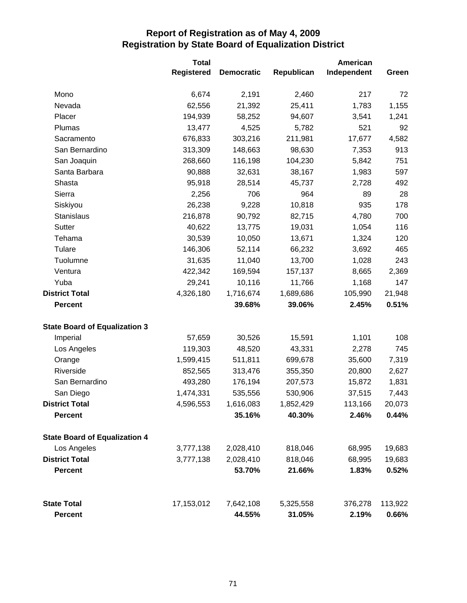|                                      | <b>Total</b>      |                   |            | American    |         |  |
|--------------------------------------|-------------------|-------------------|------------|-------------|---------|--|
|                                      | <b>Registered</b> | <b>Democratic</b> | Republican | Independent | Green   |  |
| Mono                                 | 6,674             | 2,191             | 2,460      | 217         | 72      |  |
| Nevada                               | 62,556            | 21,392            | 25,411     | 1,783       | 1,155   |  |
| Placer                               | 194,939           | 58,252            | 94,607     | 3,541       | 1,241   |  |
| Plumas                               | 13,477            | 4,525             | 5,782      | 521         | 92      |  |
| Sacramento                           | 676,833           | 303,216           | 211,981    | 17,677      | 4,582   |  |
| San Bernardino                       | 313,309           | 148,663           | 98,630     | 7,353       | 913     |  |
| San Joaquin                          | 268,660           | 116,198           | 104,230    | 5,842       | 751     |  |
| Santa Barbara                        | 90,888            | 32,631            | 38,167     | 1,983       | 597     |  |
| Shasta                               | 95,918            | 28,514            | 45,737     | 2,728       | 492     |  |
| Sierra                               | 2,256             | 706               | 964        | 89          | 28      |  |
| Siskiyou                             | 26,238            | 9,228             | 10,818     | 935         | 178     |  |
| Stanislaus                           | 216,878           | 90,792            | 82,715     | 4,780       | 700     |  |
| Sutter                               | 40,622            | 13,775            | 19,031     | 1,054       | 116     |  |
| Tehama                               | 30,539            | 10,050            | 13,671     | 1,324       | 120     |  |
| Tulare                               | 146,306           | 52,114            | 66,232     | 3,692       | 465     |  |
| Tuolumne                             | 31,635            | 11,040            | 13,700     | 1,028       | 243     |  |
| Ventura                              | 422,342           | 169,594           | 157,137    | 8,665       | 2,369   |  |
| Yuba                                 | 29,241            | 10,116            | 11,766     | 1,168       | 147     |  |
| <b>District Total</b>                | 4,326,180         | 1,716,674         | 1,689,686  | 105,990     | 21,948  |  |
| <b>Percent</b>                       |                   | 39.68%            | 39.06%     | 2.45%       | 0.51%   |  |
| <b>State Board of Equalization 3</b> |                   |                   |            |             |         |  |
| Imperial                             | 57,659            | 30,526            | 15,591     | 1,101       | 108     |  |
| Los Angeles                          | 119,303           | 48,520            | 43,331     | 2,278       | 745     |  |
| Orange                               | 1,599,415         | 511,811           | 699,678    | 35,600      | 7,319   |  |
| Riverside                            | 852,565           | 313,476           | 355,350    | 20,800      | 2,627   |  |
| San Bernardino                       | 493,280           | 176,194           | 207,573    | 15,872      | 1,831   |  |
| San Diego                            | 1,474,331         | 535,556           | 530,906    | 37,515      | 7,443   |  |
| <b>District Total</b>                | 4,596,553         | 1,616,083         | 1,852,429  | 113,166     | 20,073  |  |
| <b>Percent</b>                       |                   | 35.16%            | 40.30%     | 2.46%       | 0.44%   |  |
| <b>State Board of Equalization 4</b> |                   |                   |            |             |         |  |
| Los Angeles                          | 3,777,138         | 2,028,410         | 818,046    | 68,995      | 19,683  |  |
| <b>District Total</b>                | 3,777,138         | 2,028,410         | 818,046    | 68,995      | 19,683  |  |
| <b>Percent</b>                       |                   | 53.70%            | 21.66%     | 1.83%       | 0.52%   |  |
| <b>State Total</b>                   | 17,153,012        | 7,642,108         | 5,325,558  | 376,278     | 113,922 |  |
| <b>Percent</b>                       |                   | 44.55%            | 31.05%     | 2.19%       | 0.66%   |  |